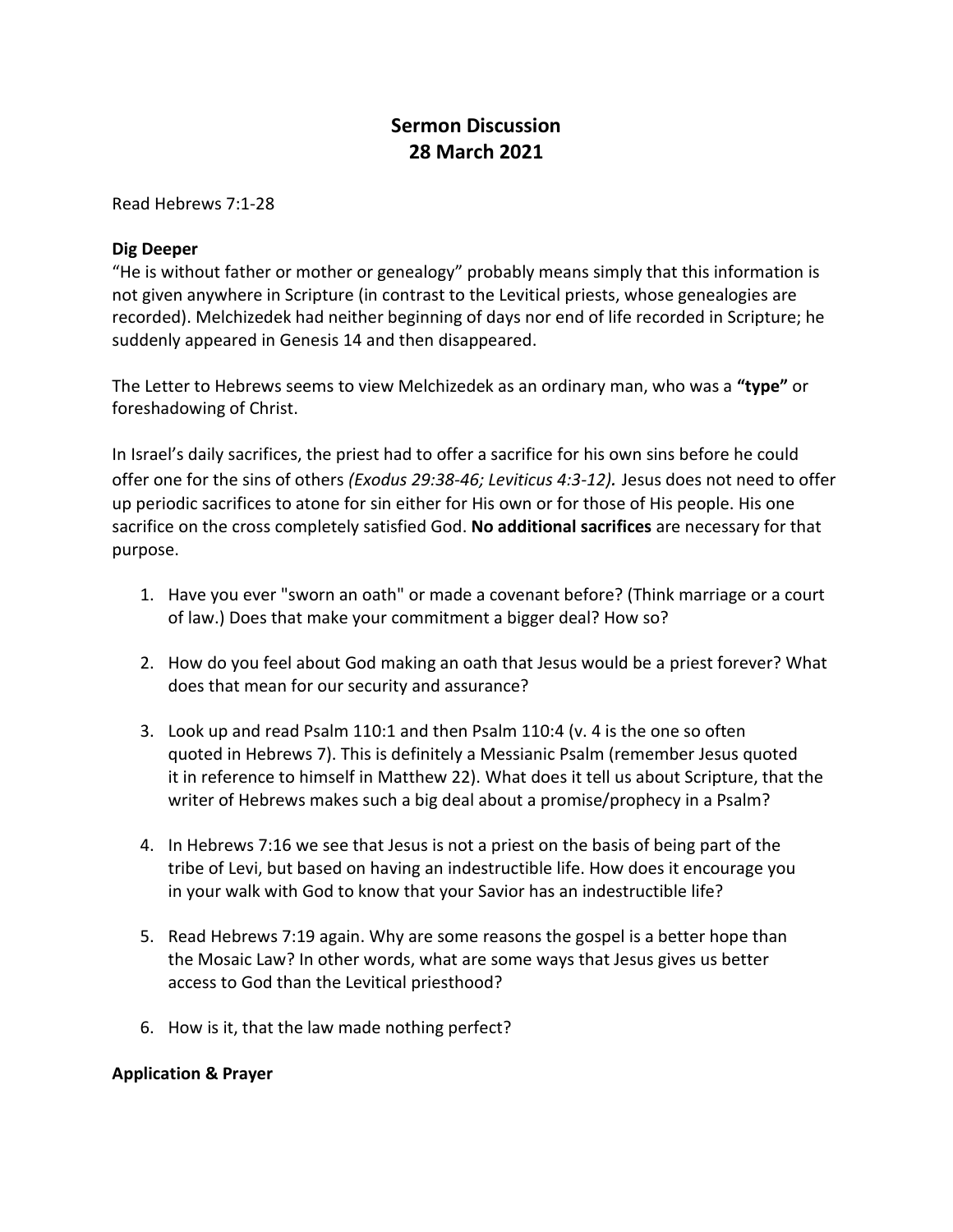## **Sermon Discussion 28 March 2021**

Read Hebrews 7:1-28

## **Dig Deeper**

"He is without father or mother or genealogy" probably means simply that this information is not given anywhere in Scripture (in contrast to the Levitical priests, whose genealogies are recorded). Melchizedek had neither beginning of days nor end of life recorded in Scripture; he suddenly appeared in Genesis 14 and then disappeared.

The Letter to Hebrews seems to view Melchizedek as an ordinary man, who was a **"type"** or foreshadowing of Christ.

In Israel's daily sacrifices, the priest had to offer a sacrifice for his own sins before he could offer one for the sins of others *(Exodus 29:38-46; Leviticus 4:3-12).* Jesus does not need to offer up periodic sacrifices to atone for sin either for His own or for those of His people. His one sacrifice on the cross completely satisfied God. **No additional sacrifices** are necessary for that purpose.

- 1. Have you ever "sworn an oath" or made a covenant before? (Think marriage or a court of law.) Does that make your commitment a bigger deal? How so?
- 2. How do you feel about God making an oath that Jesus would be a priest forever? What does that mean for our security and assurance?
- 3. Look up and read Psalm 110:1 and then Psalm 110:4 (v. 4 is the one so often quoted in Hebrews 7). This is definitely a Messianic Psalm (remember Jesus quoted it in reference to himself in Matthew 22). What does it tell us about Scripture, that the writer of Hebrews makes such a big deal about a promise/prophecy in a Psalm?
- 4. In Hebrews 7:16 we see that Jesus is not a priest on the basis of being part of the tribe of Levi, but based on having an indestructible life. How does it encourage you in your walk with God to know that your Savior has an indestructible life?
- 5. Read Hebrews 7:19 again. Why are some reasons the gospel is a better hope than the Mosaic Law? In other words, what are some ways that Jesus gives us better access to God than the Levitical priesthood?
- 6. How is it, that the law made nothing perfect?

## **Application & Prayer**